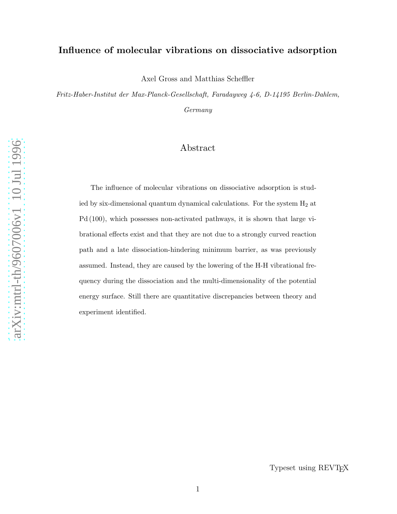## Influence of molecular vibrations on dissociative adsorption

Axel Gross and Matthias Scheffler

Fritz-Haber-Institut der Max-Planck-Gesellschaft, Faradayweg 4-6, D-14195 Berlin-Dahlem, Germany

# Abstract

The influence of molecular vibrations on dissociative adsorption is studied by six-dimensional quantum dynamical calculations. For the system  $H_2$  at Pd (100), which possesses non-activated pathways, it is shown that large vibrational effects exist and that they are not due to a strongly curved reaction path and a late dissociation-hindering minimum barrier, as was previously assumed. Instead, they are caused by the lowering of the H-H vibrational frequency during the dissociation and the multi-dimensionality of the potential energy surface. Still there are quantitative discrepancies between theory and experiment identified.

Typeset using REVTEX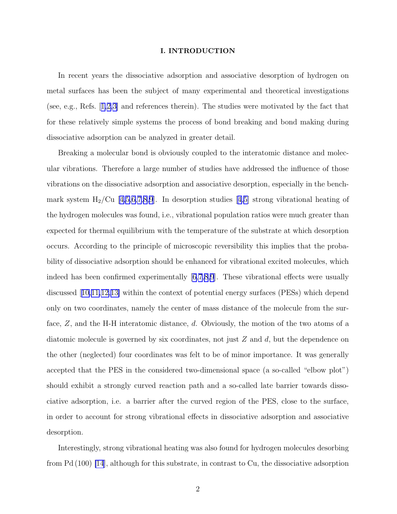#### I. INTRODUCTION

In recent years the dissociative adsorption and associative desorption of hydrogen on metal surfaces has been the subject of many experimental and theoretical investigations (see, e.g., Refs.[[1,2,3\]](#page-12-0) and references therein). The studies were motivated by the fact that for these relatively simple systems the process of bond breaking and bond making during dissociative adsorption can be analyzed in greater detail.

Breaking a molecular bond is obviously coupled to the interatomic distance and molecular vibrations. Therefore a large number of studies have addressed the influence of those vibrations on the dissociative adsorption and associative desorption, especially in the benchmarksystem  $H_2$ /Cu [[4,5,6,7,8,9](#page-12-0)]. In desorption studies [[4,5\]](#page-12-0) strong vibrational heating of the hydrogen molecules was found, i.e., vibrational population ratios were much greater than expected for thermal equilibrium with the temperature of the substrate at which desorption occurs. According to the principle of microscopic reversibility this implies that the probability of dissociative adsorption should be enhanced for vibrational excited molecules, which indeed has been confirmed experimentally [\[6,7,8,9](#page-12-0)]. These vibrational effects were usually discussed[[10,11,12,13\]](#page-12-0) within the context of potential energy surfaces (PESs) which depend only on two coordinates, namely the center of mass distance of the molecule from the surface, Z, and the H-H interatomic distance, d. Obviously, the motion of the two atoms of a diatomic molecule is governed by six coordinates, not just  $Z$  and  $d$ , but the dependence on the other (neglected) four coordinates was felt to be of minor importance. It was generally accepted that the PES in the considered two-dimensional space (a so-called "elbow plot") should exhibit a strongly curved reaction path and a so-called late barrier towards dissociative adsorption, i.e. a barrier after the curved region of the PES, close to the surface, in order to account for strong vibrational effects in dissociative adsorption and associative desorption.

Interestingly, strong vibrational heating was also found for hydrogen molecules desorbing from Pd (100) [\[14](#page-12-0)], although for this substrate, in contrast to Cu, the dissociative adsorption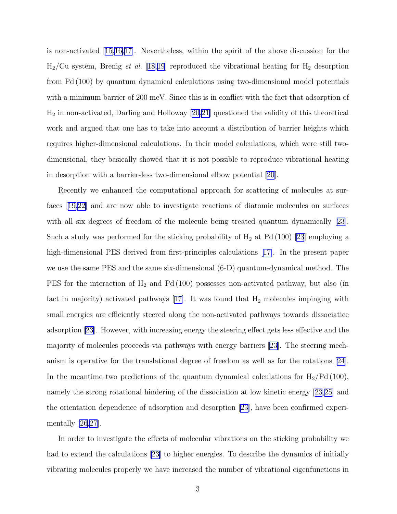is non-activated[[15,16,17\]](#page-12-0). Nevertheless, within the spirit of the above discussion for the  $H_2$ /Cu system, Brenig *et al.* [[18](#page-12-0),[19](#page-12-0)] reproduced the vibrational heating for  $H_2$  desorption from Pd (100) by quantum dynamical calculations using two-dimensional model potentials with a minimum barrier of 200 meV. Since this is in conflict with the fact that adsorption of H<sup>2</sup> in non-activated, Darling and Holloway [\[20,21\]](#page-13-0) questioned the validity of this theoretical work and argued that one has to take into account a distribution of barrier heights which requires higher-dimensional calculations. In their model calculations, which were still twodimensional, they basically showed that it is not possible to reproduce vibrational heating in desorption with a barrier-less two-dimensional elbow potential[[20](#page-13-0)].

Recently we enhanced the computational approach for scattering of molecules at surfaces[[19,](#page-12-0)[22\]](#page-13-0) and are now able to investigate reactions of diatomic molecules on surfaces with all six degrees of freedom of the molecule being treated quantum dynamically [\[23\]](#page-13-0). Sucha study was performed for the sticking probability of  $H_2$  at Pd (100) [[23](#page-13-0)] employing a high-dimensional PES derived from first-principles calculations[[17\]](#page-12-0). In the present paper we use the same PES and the same six-dimensional (6-D) quantum-dynamical method. The PES for the interaction of  $H_2$  and Pd (100) possesses non-activated pathway, but also (in factin majority) activated pathways  $[17]$  $[17]$ . It was found that  $H_2$  molecules impinging with small energies are efficiently steered along the non-activated pathways towards dissociatice adsorption [\[23](#page-13-0)]. However, with increasing energy the steering effect gets less effective and the majority of molecules proceeds via pathways with energy barriers [\[23\]](#page-13-0). The steering mechanism is operative for the translational degree of freedom as well as for the rotations [\[24\]](#page-13-0). In the meantime two predictions of the quantum dynamical calculations for  $H_2/Pd (100)$ , namely the strong rotational hindering of the dissociation at low kinetic energy[[23](#page-13-0),[25](#page-13-0)] and the orientation dependence of adsorption and desorption [\[23\]](#page-13-0), have been confirmed experimentally [\[26,27](#page-13-0)].

In order to investigate the effects of molecular vibrations on the sticking probability we had to extend the calculations [\[23\]](#page-13-0) to higher energies. To describe the dynamics of initially vibrating molecules properly we have increased the number of vibrational eigenfunctions in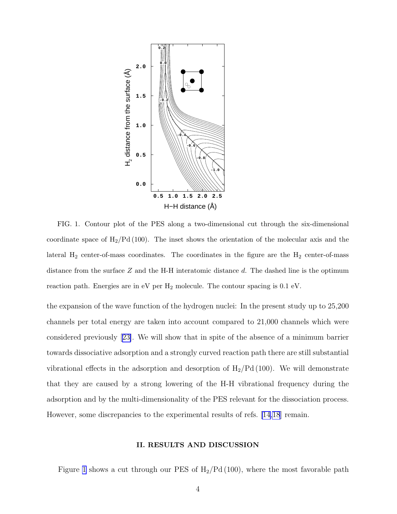<span id="page-3-0"></span>

FIG. 1. Contour plot of the PES along a two-dimensional cut through the six-dimensional coordinate space of  $H_2/Pd(100)$ . The inset shows the orientation of the molecular axis and the lateral  $H_2$  center-of-mass coordinates. The coordinates in the figure are the  $H_2$  center-of-mass distance from the surface  $Z$  and the H-H interatomic distance  $d$ . The dashed line is the optimum reaction path. Energies are in  $eV$  per  $H_2$  molecule. The contour spacing is 0.1  $eV$ .

the expansion of the wave function of the hydrogen nuclei: In the present study up to 25,200 channels per total energy are taken into account compared to 21,000 channels which were considered previously[[23\]](#page-13-0). We will show that in spite of the absence of a minimum barrier towards dissociative adsorption and a strongly curved reaction path there are still substantial vibrational effects in the adsorption and desorption of  $H_2/Pd(100)$ . We will demonstrate that they are caused by a strong lowering of the H-H vibrational frequency during the adsorption and by the multi-dimensionality of the PES relevant for the dissociation process. However, some discrepancies to the experimental results of refs. [\[14,18](#page-12-0)] remain.

#### II. RESULTS AND DISCUSSION

Figure 1 shows a cut through our PES of  $H_2/Pd(100)$ , where the most favorable path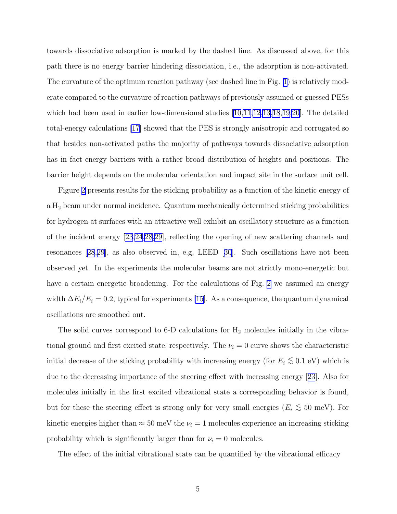towards dissociative adsorption is marked by the dashed line. As discussed above, for this path there is no energy barrier hindering dissociation, i.e., the adsorption is non-activated. The curvature of the optimum reaction pathway (see dashed line in Fig. [1](#page-3-0)) is relatively moderate compared to the curvature of reaction pathways of previously assumed or guessed PESs which had been used in earlier low-dimensional studies  $[10,11,12,13,18,19,20]$  $[10,11,12,13,18,19,20]$  $[10,11,12,13,18,19,20]$ . The detailed total-energy calculations [\[17](#page-12-0)] showed that the PES is strongly anisotropic and corrugated so that besides non-activated paths the majority of pathways towards dissociative adsorption has in fact energy barriers with a rather broad distribution of heights and positions. The barrier height depends on the molecular orientation and impact site in the surface unit cell.

Figure [2](#page-5-0) presents results for the sticking probability as a function of the kinetic energy of a H<sup>2</sup> beam under normal incidence. Quantum mechanically determined sticking probabilities for hydrogen at surfaces with an attractive well exhibit an oscillatory structure as a function of the incident energy [\[23,24,28,29](#page-13-0)], reflecting the opening of new scattering channels and resonances[[28](#page-13-0),[29](#page-13-0)], as also observed in, e.g, LEED[[30](#page-13-0)]. Such oscillations have not been observed yet. In the experiments the molecular beams are not strictly mono-energetic but have a certain energetic broadening. For the calculations of Fig. [2](#page-5-0) we assumed an energy width  $\Delta E_i/E_i = 0.2$ , typical for experiments [\[15](#page-12-0)]. As a consequence, the quantum dynamical oscillations are smoothed out.

The solid curves correspond to 6-D calculations for  $H_2$  molecules initially in the vibrational ground and first excited state, respectively. The  $\nu_i = 0$  curve shows the characteristic initial decrease of the sticking probability with increasing energy (for  $E_i \lesssim 0.1 \text{ eV}$ ) which is due to the decreasing importance of the steering effect with increasing energy[[23](#page-13-0)]. Also for molecules initially in the first excited vibrational state a corresponding behavior is found, but for these the steering effect is strong only for very small energies ( $E_i \lesssim 50 \text{ meV}$ ). For kinetic energies higher than  $\approx 50$  meV the  $\nu_i = 1$  molecules experience an increasing sticking probability which is significantly larger than for  $\nu_i = 0$  molecules.

The effect of the initial vibrational state can be quantified by the vibrational efficacy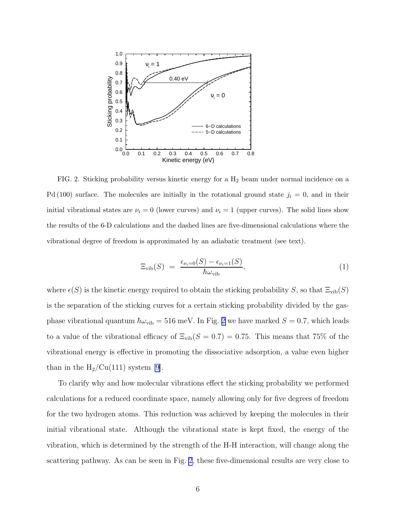<span id="page-5-0"></span>

FIG. 2. Sticking probability versus kinetic energy for a H2 beam under normal incidence on a Pd (100) surface. The molecules are initially in the rotational ground state  $j_i = 0$ , and in their initial vibrational states are  $\nu_i = 0$  (lower curves) and  $\nu_i = 1$  (upper curves). The solid lines show the results of the 6-D calculations and the dashed lines are five-dimensional calculations where the vibrational degree of freedom is approximated by an adiabatic treatment (see text).

$$
\Xi_{\text{vib}}(S) = \frac{\epsilon_{\nu_i=0}(S) - \epsilon_{\nu_i=1}(S)}{\hbar \omega_{\text{vib}}},\tag{1}
$$

where  $\epsilon(S)$  is the kinetic energy required to obtain the sticking probability S, so that  $\Xi_{\text{vib}}(S)$ is the separation of the sticking curves for a certain sticking probability divided by the gasphase vibrational quantum  $\hbar\omega_{\text{vib}} = 516$  meV. In Fig. 2 we have marked  $S = 0.7$ , which leads to a value of the vibrational efficacy of  $\Xi_{\text{vib}}(S = 0.7) = 0.75$ . This means that 75% of the vibrational energy is effective in promoting the dissociative adsorption, a value even higher than in the  $H_2/Cu(111)$  system [\[9](#page-12-0)].

To clarify why and how molecular vibrations effect the sticking probability we performed calculations for a reduced coordinate space, namely allowing only for five degrees of freedom for the two hydrogen atoms. This reduction was achieved by keeping the molecules in their initial vibrational state. Although the vibrational state is kept fixed, the energy of the vibration, which is determined by the strength of the H-H interaction, will change along the scattering pathway. As can be seen in Fig. 2, these five-dimensional results are very close to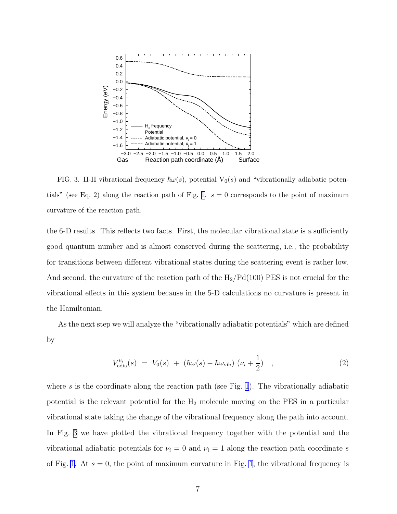<span id="page-6-0"></span>

FIG. 3. H-H vibrational frequency  $\hbar\omega(s)$ , potential  $V_0(s)$  and "vibrationally adiabatic poten-tials" (see Eq. 2) along the reaction path of Fig. [1.](#page-3-0)  $s = 0$  corresponds to the point of maximum curvature of the reaction path.

the 6-D results. This reflects two facts. First, the molecular vibrational state is a sufficiently good quantum number and is almost conserved during the scattering, i.e., the probability for transitions between different vibrational states during the scattering event is rather low. And second, the curvature of the reaction path of the  $H_2/Pd(100)$  PES is not crucial for the vibrational effects in this system because in the 5-D calculations no curvature is present in the Hamiltonian.

As the next step we will analyze the "vibrationally adiabatic potentials" which are defined by

$$
V_{\text{adia}}^{\nu_i}(s) = V_0(s) + (\hbar\omega(s) - \hbar\omega_{\text{vib}}) (\nu_i + \frac{1}{2}) , \qquad (2)
$$

where s is the coordinate along the reaction path (see Fig. [1](#page-3-0)). The vibrationally adiabatic potential is the relevant potential for the  $H_2$  molecule moving on the PES in a particular vibrational state taking the change of the vibrational frequency along the path into account. In Fig. 3 we have plotted the vibrational frequency together with the potential and the vibrational adiabatic potentials for  $\nu_i = 0$  and  $\nu_i = 1$  along the reaction path coordinate s of Fig. [1](#page-3-0). At  $s = 0$ , the point of maximum curvature in Fig. 1, the vibrational frequency is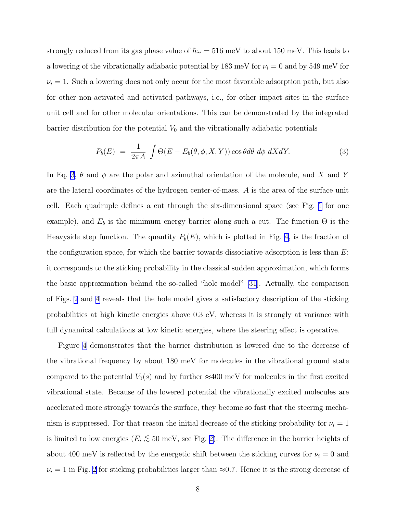strongly reduced from its gas phase value of  $\hbar\omega = 516$  meV to about 150 meV. This leads to a lowering of the vibrationally adiabatic potential by 183 meV for  $\nu_i = 0$  and by 549 meV for  $\nu_i = 1$ . Such a lowering does not only occur for the most favorable adsorption path, but also for other non-activated and activated pathways, i.e., for other impact sites in the surface unit cell and for other molecular orientations. This can be demonstrated by the integrated barrier distribution for the potential  $V_0$  and the vibrationally adiabatic potentials

$$
P_b(E) = \frac{1}{2\pi A} \int \Theta(E - E_b(\theta, \phi, X, Y)) \cos \theta d\theta \, d\phi \, dX dY. \tag{3}
$$

In Eq. 3,  $\theta$  and  $\phi$  are the polar and azimuthal orientation of the molecule, and X and Y are the lateral coordinates of the hydrogen center-of-mass. A is the area of the surface unit cell. Each quadruple defines a cut through the six-dimensional space (see Fig. [1](#page-3-0) for one example), and  $E_b$  is the minimum energy barrier along such a cut. The function  $\Theta$  is the Heavyside step function. The quantity  $P_b(E)$ , which is plotted in Fig. [4,](#page-8-0) is the fraction of the configuration space, for which the barrier towards dissociative adsorption is less than  $E$ ; it corresponds to the sticking probability in the classical sudden approximation, which forms the basic approximation behind the so-called "hole model" [\[31](#page-13-0)]. Actually, the comparison of Figs. [2](#page-5-0) and [4](#page-8-0) reveals that the hole model gives a satisfactory description of the sticking probabilities at high kinetic energies above 0.3 eV, whereas it is strongly at variance with full dynamical calculations at low kinetic energies, where the steering effect is operative.

Figure [4](#page-8-0) demonstrates that the barrier distribution is lowered due to the decrease of the vibrational frequency by about 180 meV for molecules in the vibrational ground state compared to the potential  $V_0(s)$  and by further  $\approx 400$  meV for molecules in the first excited vibrational state. Because of the lowered potential the vibrationally excited molecules are accelerated more strongly towards the surface, they become so fast that the steering mechanism is suppressed. For that reason the initial decrease of the sticking probability for  $\nu_i = 1$ is limited to low energies ( $E_i \lesssim 50$  meV, see Fig. [2\)](#page-5-0). The difference in the barrier heights of about 400 meV is reflected by the energetic shift between the sticking curves for  $\nu_i = 0$  and  $\nu_i = 1$  in Fig. [2](#page-5-0) for sticking probabilities larger than ≈0.7. Hence it is the strong decrease of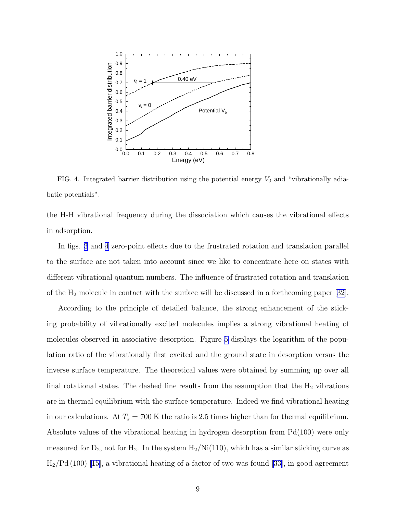<span id="page-8-0"></span>

FIG. 4. Integrated barrier distribution using the potential energy  $V_0$  and "vibrationally adiabatic potentials".

the H-H vibrational frequency during the dissociation which causes the vibrational effects in adsorption.

In figs. [3](#page-6-0) and 4 zero-point effects due to the frustrated rotation and translation parallel to the surface are not taken into account since we like to concentrate here on states with different vibrational quantum numbers. The influence of frustrated rotation and translation of the  $H_2$  molecule in contact with the surface will be discussed in a forthcoming paper [\[32\]](#page-13-0).

According to the principle of detailed balance, the strong enhancement of the sticking probability of vibrationally excited molecules implies a strong vibrational heating of molecules observed in associative desorption. Figure [5](#page-9-0) displays the logarithm of the population ratio of the vibrationally first excited and the ground state in desorption versus the inverse surface temperature. The theoretical values were obtained by summing up over all final rotational states. The dashed line results from the assumption that the  $H_2$  vibrations are in thermal equilibrium with the surface temperature. Indeed we find vibrational heating in our calculations. At  $T_s = 700$  K the ratio is 2.5 times higher than for thermal equilibrium. Absolute values of the vibrational heating in hydrogen desorption from Pd(100) were only measured for  $D_2$ , not for  $H_2$ . In the system  $H_2/Ni(110)$ , which has a similar sticking curve as  $H<sub>2</sub>/Pd (100)$  [\[15](#page-12-0)], a vibrational heating of a factor of two was found [\[33\]](#page-13-0), in good agreement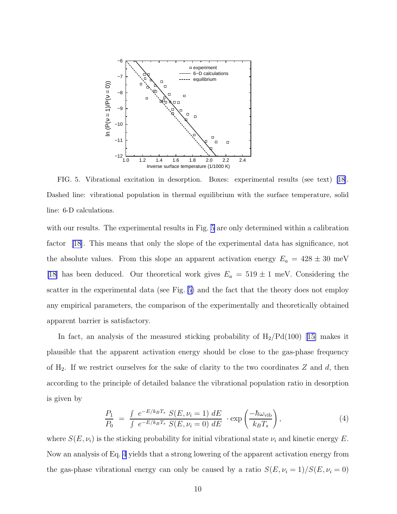<span id="page-9-0"></span>

FIG. 5. Vibrational excitation in desorption. Boxes: experimental results (see text) [\[18](#page-12-0)]. Dashed line: vibrational population in thermal equilibrium with the surface temperature, solid line: 6-D calculations.

with our results. The experimental results in Fig. 5 are only determined within a calibration factor [\[18](#page-12-0)]. This means that only the slope of the experimental data has significance, not the absolute values. From this slope an apparent activation energy  $E_a = 428 \pm 30$  meV [\[18](#page-12-0)] has been deduced. Our theoretical work gives  $E_a = 519 \pm 1$  meV. Considering the scatter in the experimental data (see Fig. 5) and the fact that the theory does not employ any empirical parameters, the comparison of the experimentally and theoretically obtained apparent barrier is satisfactory.

In fact, an analysis of the measured sticking probability of  $H_2/Pd(100)$  [\[15\]](#page-12-0) makes it plausible that the apparent activation energy should be close to the gas-phase frequency of  $H_2$ . If we restrict ourselves for the sake of clarity to the two coordinates Z and d, then according to the principle of detailed balance the vibrational population ratio in desorption is given by

$$
\frac{P_1}{P_0} = \frac{\int e^{-E/k_B T_s} S(E, \nu_i = 1) dE}{\int e^{-E/k_B T_s} S(E, \nu_i = 0) dE} \cdot \exp\left(\frac{-\hbar \omega_{\text{vib}}}{k_B T_s}\right),\tag{4}
$$

where  $S(E, \nu_i)$  is the sticking probability for initial vibrational state  $\nu_i$  and kinetic energy E. Now an analysis of Eq. 4 yields that a strong lowering of the apparent activation energy from the gas-phase vibrational energy can only be caused by a ratio  $S(E, \nu_i = 1)/S(E, \nu_i = 0)$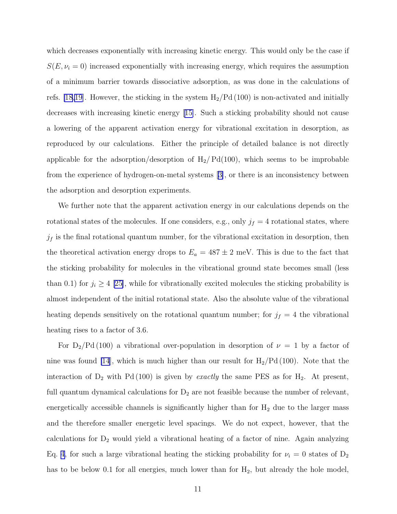which decreases exponentially with increasing kinetic energy. This would only be the case if  $S(E, \nu_i = 0)$  increased exponentially with increasing energy, which requires the assumption of a minimum barrier towards dissociative adsorption, as was done in the calculations of refs. [\[18,19](#page-12-0)]. However, the sticking in the system  $H_2/Pd(100)$  is non-activated and initially decreases with increasing kinetic energy [\[15\]](#page-12-0). Such a sticking probability should not cause a lowering of the apparent activation energy for vibrational excitation in desorption, as reproduced by our calculations. Either the principle of detailed balance is not directly applicable for the adsorption/desorption of  $H_2$ / Pd(100), which seems to be improbable from the experience of hydrogen-on-metal systems[[3\]](#page-12-0), or there is an inconsistency between the adsorption and desorption experiments.

We further note that the apparent activation energy in our calculations depends on the rotational states of the molecules. If one considers, e.g., only  $j_f = 4$  rotational states, where  $j_f$  is the final rotational quantum number, for the vibrational excitation in desorption, then the theoretical activation energy drops to  $E_a = 487 \pm 2$  meV. This is due to the fact that the sticking probability for molecules in the vibrational ground state becomes small (less than 0.1) for  $j_i \geq 4$  [\[25\]](#page-13-0), while for vibrationally excited molecules the sticking probability is almost independent of the initial rotational state. Also the absolute value of the vibrational heating depends sensitively on the rotational quantum number; for  $j_f = 4$  the vibrational heating rises to a factor of 3.6.

For  $D_2/Pd(100)$  a vibrational over-population in desorption of  $\nu = 1$  by a factor of nine was found [\[14](#page-12-0)], which is much higher than our result for  $H_2/Pd(100)$ . Note that the interaction of  $D_2$  with Pd (100) is given by *exactly* the same PES as for  $H_2$ . At present, full quantum dynamical calculations for  $D_2$  are not feasible because the number of relevant, energetically accessible channels is significantly higher than for  $H_2$  due to the larger mass and the therefore smaller energetic level spacings. We do not expect, however, that the calculations for  $D_2$  would yield a vibrational heating of a factor of nine. Again analyzing Eq. [4,](#page-9-0) for such a large vibrational heating the sticking probability for  $\nu_i = 0$  states of  $D_2$ has to be below 0.1 for all energies, much lower than for  $H_2$ , but already the hole model,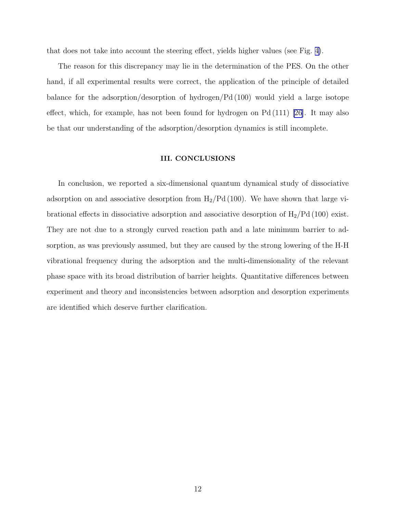that does not take into account the steering effect, yields higher values (see Fig. [4\)](#page-8-0).

The reason for this discrepancy may lie in the determination of the PES. On the other hand, if all experimental results were correct, the application of the principle of detailed balance for the adsorption/desorption of hydrogen/Pd (100) would yield a large isotope effect, which, for example, has not been found for hydrogen on  $Pd(111)$  [\[26](#page-13-0)]. It may also be that our understanding of the adsorption/desorption dynamics is still incomplete.

#### III. CONCLUSIONS

In conclusion, we reported a six-dimensional quantum dynamical study of dissociative adsorption on and associative desorption from  $H_2/Pd(100)$ . We have shown that large vibrational effects in dissociative adsorption and associative desorption of  $H_2/Pd(100)$  exist. They are not due to a strongly curved reaction path and a late minimum barrier to adsorption, as was previously assumed, but they are caused by the strong lowering of the H-H vibrational frequency during the adsorption and the multi-dimensionality of the relevant phase space with its broad distribution of barrier heights. Quantitative differences between experiment and theory and inconsistencies between adsorption and desorption experiments are identified which deserve further clarification.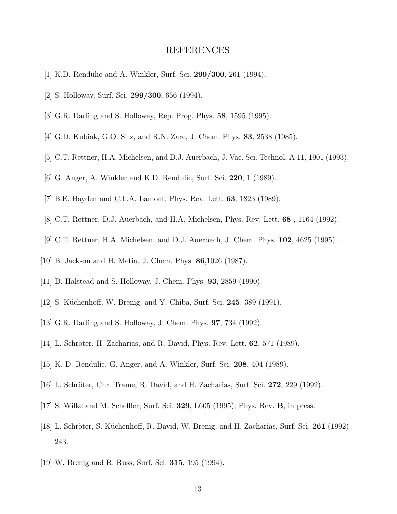### REFERENCES

- <span id="page-12-0"></span>[1] K.D. Rendulic and A. Winkler, Surf. Sci. 299/300, 261 (1994).
- [2] S. Holloway, Surf. Sci. 299/300, 656 (1994).
- [3] G.R. Darling and S. Holloway, Rep. Prog. Phys. 58, 1595 (1995).
- [4] G.D. Kubiak, G.O. Sitz, and R.N. Zare, J. Chem. Phys. 83, 2538 (1985).
- [5] C.T. Rettner, H.A. Michelsen, and D.J. Auerbach, J. Vac. Sci. Technol. A 11, 1901 (1993).
- [6] G. Anger, A. Winkler and K.D. Rendulic, Surf. Sci. 220, 1 (1989).
- [7] B.E. Hayden and C.L.A. Lamont, Phys. Rev. Lett. 63, 1823 (1989).
- [8] C.T. Rettner, D.J. Auerbach, and H.A. Michelsen, Phys. Rev. Lett. 68 , 1164 (1992).
- [9] C.T. Rettner, H.A. Michelsen, and D.J. Auerbach, J. Chem. Phys. 102, 4625 (1995).
- [10] B. Jackson and H. Metiu, J. Chem. Phys. 86,1026 (1987).
- [11] D. Halstead and S. Holloway, J. Chem. Phys. 93, 2859 (1990).
- [12] S. Küchenhoff, W. Brenig, and Y. Chiba, Surf. Sci. 245, 389 (1991).
- [13] G.R. Darling and S. Holloway, J. Chem. Phys. 97, 734 (1992).
- [14] L. Schröter, H. Zacharias, and R. David, Phys. Rev. Lett.  $62$ , 571 (1989).
- [15] K. D. Rendulic, G. Anger, and A. Winkler, Surf. Sci. 208, 404 (1989).
- [16] L. Schröter, Chr. Trame, R. David, and H. Zacharias, Surf. Sci. 272, 229 (1992).
- [17] S. Wilke and M. Scheffler, Surf. Sci. 329, L605 (1995); Phys. Rev. B, in press.
- [18] L. Schröter, S. Küchenhoff, R. David, W. Brenig, and H. Zacharias, Surf. Sci. 261 (1992) 243.
- [19] W. Brenig and R. Russ, Surf. Sci. 315, 195 (1994).